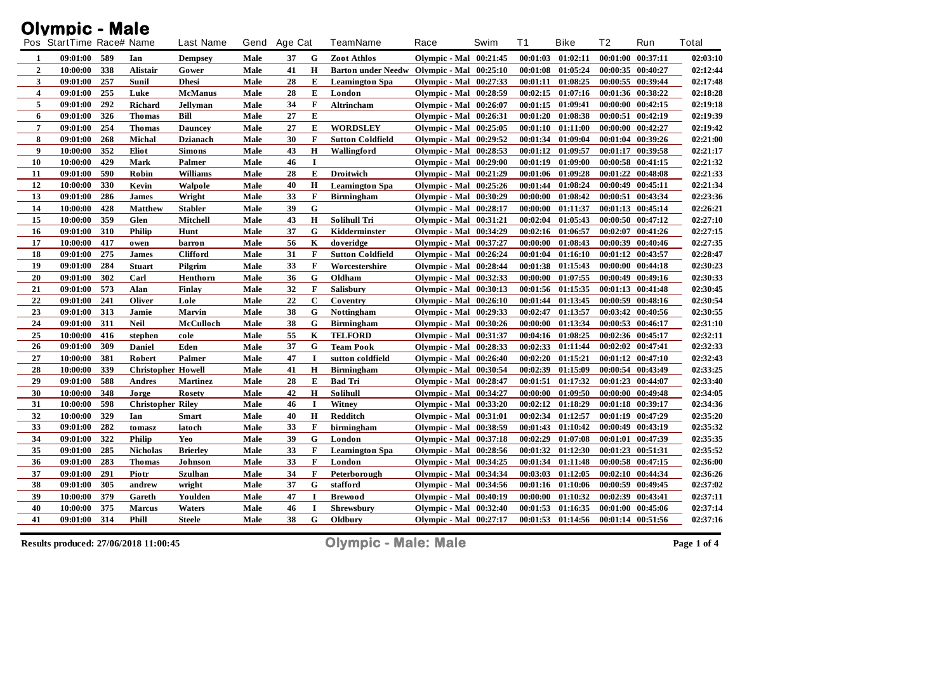|                | <b>Olympic - Male</b>    |     |                           |                  |      |         |              |                                           |                               |          |          |                       |          |                   |          |
|----------------|--------------------------|-----|---------------------------|------------------|------|---------|--------------|-------------------------------------------|-------------------------------|----------|----------|-----------------------|----------|-------------------|----------|
|                | Pos StartTime Race# Name |     |                           | <b>Last Name</b> | Gend | Age Cat |              | <b>TeamName</b>                           | Race                          | Swim     | T1       | Bike                  | T2       | Run               | Total    |
| 1              | 09:01:00                 | 589 | Ian                       | <b>Dempsey</b>   | Male | 37      | G            | Zoot Athlos                               | <b>Olympic - Mal</b> 00:21:45 |          |          | $00:01:03$ $01:02:11$ |          | 00:01:00 00:37:11 | 02:03:10 |
| $\overline{2}$ | 10:00:00                 | 338 | Alistair                  | Gower            | Male | 41      | Н            | Barton under Needw Olympic - Mal 00:25:10 |                               |          | 00:01:08 | 01:05:24              |          | 00:00:35 00:40:27 | 02:12:44 |
| 3              | 09:01:00                 | 257 | Sunil                     | <b>Dhesi</b>     | Male | 28      | Е            | <b>Leamington Spa</b>                     | <b>Olympic - Mal</b> 00:27:33 |          | 00:01:11 | 01:08:25              |          | 00:00:55 00:39:44 | 02:17:48 |
| 4              | 09:01:00                 | 255 | Luke                      | <b>McManus</b>   | Male | 28      | E            | London                                    | <b>Olympic - Mal</b> 00:28:59 |          |          | $00:02:15$ $01:07:16$ |          | 00:01:36 00:38:22 | 02:18:28 |
| 5              | 09:01:00                 | 292 | Richard                   | <b>Jellyman</b>  | Male | 34      | $\mathbf F$  | Altrincham                                | Olympic - Mal                 | 00:26:07 | 00:01:15 | 01:09:41              | 00:00:00 | 00:42:15          | 02:19:18 |
| 6              | 09:01:00                 | 326 | <b>Thomas</b>             | Bill             | Male | 27      | E            |                                           | <b>Olympic - Mal</b> 00:26:31 |          | 00:01:20 | 01:08:38              | 00:00:51 | 00:42:19          | 02:19:39 |
| $\overline{7}$ | 09:01:00                 | 254 | <b>Thomas</b>             | <b>Dauncey</b>   | Male | 27      | E            | <b>WORDSLEY</b>                           | <b>Olympic - Mal</b> 00:25:05 |          | 00:01:10 | 01:11:00              |          | 00:00:00 00:42:27 | 02:19:42 |
| 8              | 09:01:00                 | 268 | <b>Michal</b>             | <b>Dzianach</b>  | Male | 30      | $\mathbf{F}$ | <b>Sutton Coldfield</b>                   | <b>Olympic - Mal</b> 00:29:52 |          | 00:01:34 | 01:09:04              |          | 00:01:04 00:39:26 | 02:21:00 |
| 9              | 10:00:00                 | 352 | Eliot                     | <b>Simons</b>    | Male | 43      | H            | Wallingford                               | <b>Olympic - Mal</b> 00:28:53 |          | 00:01:12 | 01:09:57              |          | 00:01:17 00:39:58 | 02:21:17 |
| 10             | 10:00:00                 | 429 | Mark                      | Palmer           | Male | 46      | $\bf{I}$     |                                           | <b>Olympic - Mal</b> 00:29:00 |          | 00:01:19 | 01:09:00              |          | 00:00:58 00:41:15 | 02:21:32 |
| 11             | 09:01:00                 | 590 | Robin                     | <b>Williams</b>  | Male | 28      | E            | <b>Droitwich</b>                          | <b>Olympic - Mal</b> 00:21:29 |          | 00:01:06 | 01:09:28              |          | 00:01:22 00:48:08 | 02:21:33 |
| 12             | 10:00:00                 | 330 | Kevin                     | Walpole          | Male | 40      | $\mathbf H$  | <b>Leamington Spa</b>                     | Olympic - Mal 00:25:26        |          | 00:01:44 | 01:08:24              |          | 00:00:49 00:45:11 | 02:21:34 |
| 13             | 09:01:00                 | 286 | <b>James</b>              | Wright           | Male | 33      | F            | <b>Birmingham</b>                         | <b>Olympic - Mal</b> 00:30:29 |          | 00:00:00 | 01:08:42              | 00:00:51 | 00:43:34          | 02:23:36 |
| 14             | 10:00:00                 | 428 | <b>Matthew</b>            | <b>Stabler</b>   | Male | 39      | G            |                                           | <b>Olympic - Mal</b> 00:28:17 |          | 00:00:00 | 01:11:37              |          | 00:01:13 00:45:14 | 02:26:21 |
| 15             | 10:00:00                 | 359 | Glen                      | Mitchell         | Male | 43      | Н            | <b>Solihull Tri</b>                       | Olympic - Mal                 | 00:31:21 | 00:02:04 | 01:05:43              | 00:00:50 | 00:47:12          | 02:27:10 |
| 16             | 09:01:00                 | 310 | <b>Philip</b>             | Hunt             | Male | 37      | G            | Kidderminster                             | Olympic - Mal 00:34:29        |          |          | 00:02:16 01:06:57     |          | 00:02:07 00:41:26 | 02:27:15 |
| 17             | 10:00:00                 | 417 | o wen                     | barron           | Male | 56      | K            | doveridge                                 | Olympic - Mal 00:37:27        |          | 00:00:00 | 01:08:43              |          | 00:00:39 00:40:46 | 02:27:35 |
| 18             | 09:01:00                 | 275 | <b>James</b>              | <b>Clifford</b>  | Male | 31      | F            | <b>Sutton Coldfield</b>                   | <b>Olympic - Mal</b> 00:26:24 |          | 00:01:04 | 01:16:10              | 00:01:12 | 00:43:57          | 02:28:47 |
| 19             | 09:01:00                 | 284 | <b>Stuart</b>             | Pilgrim          | Male | 33      | F            | Worcestershire                            | <b>Olympic - Mal</b> 00:28:44 |          | 00:01:38 | 01:15:43              |          | 00:00:00 00:44:18 | 02:30:23 |
| 20             | 09:01:00                 | 302 | Carl                      | Henthorn         | Male | 36      | G            | Oldham                                    | <b>Olympic - Mal</b> 00:32:33 |          | 00:00:00 | 01:07:55              |          | 00:00:49 00:49:16 | 02:30:33 |
| 21             | 09:01:00                 | 573 | Alan                      | Finlay           | Male | 32      | $\mathbf{F}$ | Salisbury                                 | <b>Olympic - Mal</b> 00:30:13 |          | 00:01:56 | 01:15:35              |          | 00:01:13 00:41:48 | 02:30:45 |
| 22             | 09:01:00                 | 241 | <b>Oliver</b>             | Lole             | Male | 22      | $\mathbf C$  | Coventry                                  | <b>Olympic - Mal</b> 00:26:10 |          | 00:01:44 | 01:13:45              |          | 00:00:59 00:48:16 | 02:30:54 |
| 23             | 09:01:00                 | 313 | Jamie                     | <b>Marvin</b>    | Male | 38      | G            | <b>Nottingham</b>                         | Olympic - Mal 00:29:33        |          | 00:02:47 | 01:13:57              |          | 00:03:42 00:40:56 | 02:30:55 |
| 24             | 09:01:00                 | 311 | <b>Neil</b>               | McCulloch        | Male | 38      | G            | <b>Birmingham</b>                         | <b>Olympic - Mal</b> 00:30:26 |          | 00:00:00 | 01:13:34              |          | 00:00:53 00:46:17 | 02:31:10 |
| 25             | 10:00:00                 | 416 | stephen                   | cole             | Male | 55      | K            | <b>TELFORD</b>                            | Olympic - Mal                 | 00:31:37 | 00:04:16 | 01:08:25              |          | 00:02:36 00:45:17 | 02:32:11 |
| 26             | 09:01:00                 | 309 | <b>Daniel</b>             | Eden             | Male | 37      | G            | <b>Team Pook</b>                          | <b>Olympic - Mal</b> 00:28:33 |          | 00:02:33 | 01:11:44              |          | 00:02:02 00:47:41 | 02:32:33 |
| 27             | 10:00:00                 | 381 | Robert                    | Palmer           | Male | 47      | $\mathbf I$  | sutton coldfield                          | <b>Olympic - Mal</b> 00:26:40 |          | 00:02:20 | 01:15:21              |          | 00:01:12 00:47:10 | 02:32:43 |
| 28             | 10:00:00                 | 339 | <b>Christopher Howell</b> |                  | Male | 41      | H            | <b>Birmingham</b>                         | Olympic - Mal                 | 00:30:54 | 00:02:39 | 01:15:09              |          | 00:00:54 00:43:49 | 02:33:25 |
| 29             | 09:01:00                 | 588 | <b>Andres</b>             | <b>Martinez</b>  | Male | 28      | Е            | <b>Bad Tri</b>                            | <b>Olympic - Mal</b> 00:28:47 |          | 00:01:51 | 01:17:32              |          | 00:01:23 00:44:07 | 02:33:40 |
| 30             | 10:00:00                 | 348 | Jorge                     | <b>Rosety</b>    | Male | 42      | $\bf H$      | Solihull                                  | <b>Olympic - Mal</b> 00:34:27 |          | 00:00:00 | 01:09:50              |          | 00:00:00 00:49:48 | 02:34:05 |
| 31             | 10:00:00                 | 598 | <b>Christopher Rilev</b>  |                  | Male | 46      | -1           | Witney                                    | Olympic - Mal 00:33:20        |          | 00:02:12 | 01:18:29              |          | 00:01:18 00:39:17 | 02:34:36 |
| 32             | 10:00:00                 | 329 | Ian                       | <b>Smart</b>     | Male | 40      | $\bf H$      | Redditch                                  | <b>Olympic - Mal</b> 00:31:01 |          | 00:02:34 | 01:12:57              |          | 00:01:19 00:47:29 | 02:35:20 |
| 33             | 09:01:00                 | 282 | tomasz                    | latoch           | Male | 33      | F            | birmingham                                | Olympic - Mal 00:38:59        |          | 00:01:43 | 01:10:42              |          | 00:00:49 00:43:19 | 02:35:32 |
| 34             | 09:01:00                 | 322 | <b>Philip</b>             | Yeo              | Male | 39      | G            | London                                    | <b>Olympic - Mal</b> 00:37:18 |          | 00:02:29 | 01:07:08              | 00:01:01 | 00:47:39          | 02:35:35 |
| 35             | 09:01:00                 | 285 | <b>Nicholas</b>           | <b>Brierley</b>  | Male | 33      | $\mathbf F$  | <b>Leamington Spa</b>                     | <b>Olympic - Mal</b> 00:28:56 |          | 00:01:32 | 01:12:30              |          | 00:01:23 00:51:31 | 02:35:52 |
| 36             | 09:01:00                 | 283 | <b>Thomas</b>             | Johnson          | Male | 33      | F            | London                                    | Olympic - Mal 00:34:25        |          | 00:01:34 | 01:11:48              |          | 00:00:58 00:47:15 | 02:36:00 |
| 37             | 09:01:00                 | 291 | Piotr                     | <b>Szulhan</b>   | Male | 34      | $\mathbf{F}$ | Peterborough                              | <b>Olympic - Mal</b> 00:34:34 |          | 00:03:03 | 01:12:05              |          | 00:02:10 00:44:34 | 02:36:26 |
| 38             | 09:01:00                 | 305 | andrew                    | wright           | Male | 37      | G            | stafford                                  | Olympic - Mal 00:34:56        |          | 00:01:16 | 01:10:06              |          | 00:00:59 00:49:45 | 02:37:02 |
| 39             | 10:00:00                 | 379 | Gareth                    | Youlden          | Male | 47      | $\mathbf I$  | <b>Brewood</b>                            | <b>Olympic - Mal</b> 00:40:19 |          | 00:00:00 | 01:10:32              |          | 00:02:39 00:43:41 | 02:37:11 |
| 40             | 10:00:00                 | 375 | <b>Marcus</b>             | Waters           | Male | 46      | $\bf{I}$     | <b>Shrewsbury</b>                         | <b>Olympic - Mal</b> 00:32:40 |          | 00:01:53 | 01:16:35              |          | 00:01:00 00:45:06 | 02:37:14 |
| 41             | 09:01:00                 | 314 | <b>Phill</b>              | <b>Steele</b>    | Male | 38      | G            | Oldbury                                   | <b>Olympic - Mal</b> 00:27:17 |          | 00:01:53 | 01:14:56              |          | 00:01:14 00:51:56 | 02:37:16 |

**Results produced: 27/06/2018 11:00:45 Olympic - Male: Male Page 1 of 4**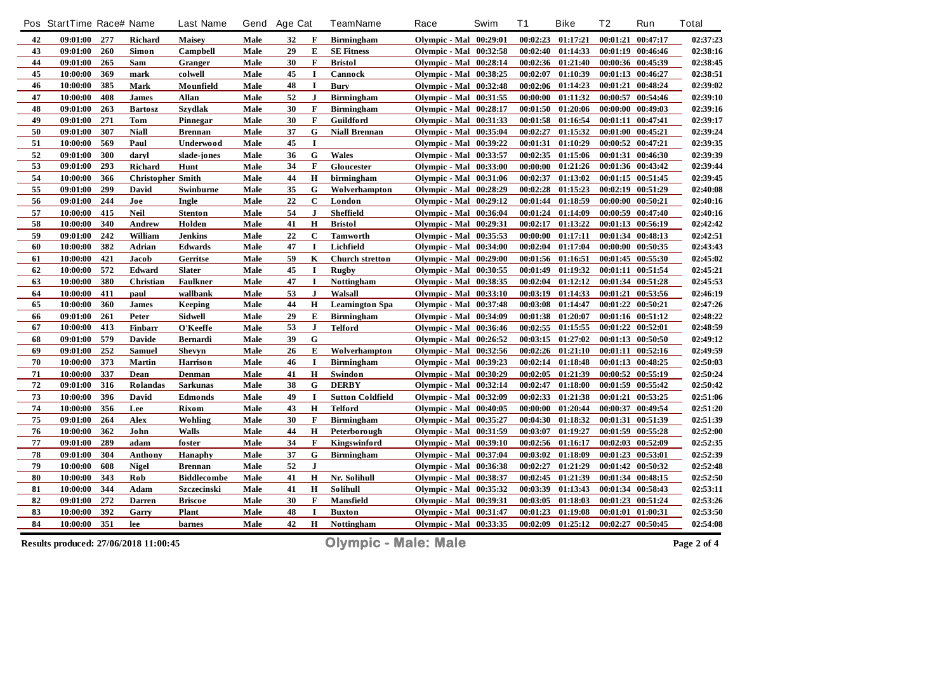|    | Pos StartTime Race# Name |     |                          | <b>Last Name</b>   | Gend | Age Cat |              | TeamName                | Race                          | Swim | T <sub>1</sub> | <b>Bike</b>           | T <sub>2</sub> | Run               | Total    |
|----|--------------------------|-----|--------------------------|--------------------|------|---------|--------------|-------------------------|-------------------------------|------|----------------|-----------------------|----------------|-------------------|----------|
| 42 | 09:01:00                 | 277 | <b>Richard</b>           | <b>Maisey</b>      | Male | 32      | F            | <b>Birmingham</b>       | <b>Olympic - Mal</b> 00:29:01 |      |                | 00:02:23 01:17:21     |                | 00:01:21 00:47:17 | 02:37:23 |
| 43 | 09:01:00                 | 260 | Simon                    | Campbell           | Male | 29      | E            | <b>SE Fitness</b>       | <b>Olympic - Mal</b> 00:32:58 |      | 00:02:40       | 01:14:33              |                | 00:01:19 00:46:46 | 02:38:16 |
| 44 | 09:01:00                 | 265 | Sam                      | Granger            | Male | 30      | F            | <b>Bristol</b>          | <b>Olympic - Mal</b> 00:28:14 |      | 00:02:36       | 01:21:40              |                | 00:00:36 00:45:39 | 02:38:45 |
| 45 | 10:00:00                 | 369 | mark                     | colwell            | Male | 45      | $\mathbf I$  | Cannock                 | Olympic - Mal 00:38:25        |      | 00:02:07       | 01:10:39              |                | 00:01:13 00:46:27 | 02:38:51 |
| 46 | 10:00:00                 | 385 | <b>Mark</b>              | Mounfield          | Male | 48      | $\mathbf I$  | <b>Bury</b>             | <b>Olympic - Mal</b> 00:32:48 |      | 00:02:06       | 01:14:23              |                | 00:01:21 00:48:24 | 02:39:02 |
| 47 | 10:00:00                 | 408 | <b>James</b>             | <b>Allan</b>       | Male | 52      | J            | Birmingham              | Olympic - Mal 00:31:55        |      | 00:00:00       | 01:11:32              | 00:00:57       | 00:54:46          | 02:39:10 |
| 48 | 09:01:00                 | 263 | <b>Bartosz</b>           | <b>Szydlak</b>     | Male | 30      | $\mathbf{F}$ | <b>Birmingham</b>       | <b>Olympic - Mal</b> 00:28:17 |      | 00:01:50       | 01:20:06              |                | 00:00:00 00:49:03 | 02:39:16 |
| 49 | 09:01:00                 | 271 | <b>Tom</b>               | Pinnegar           | Male | 30      | $\mathbf{F}$ | Guildford               | <b>Olympic - Mal</b> 00:31:33 |      |                | 00:01:58 01:16:54     |                | 00:01:11 00:47:41 | 02:39:17 |
| 50 | 09:01:00                 | 307 | <b>Niall</b>             | <b>Brennan</b>     | Male | 37      | ${\bf G}$    | <b>Niall Brennan</b>    | <b>Olympic - Mal</b> 00:35:04 |      | 00:02:27       | 01:15:32              |                | 00:01:00 00:45:21 | 02:39:24 |
| 51 | 10:00:00                 | 569 | Paul                     | Underwood          | Male | 45      | $\bf{I}$     |                         | <b>Olympic - Mal</b> 00:39:22 |      | 00:01:31       | 01:10:29              |                | 00:00:52 00:47:21 | 02:39:35 |
| 52 | 09:01:00                 | 300 | daryl                    | slade-jones        | Male | 36      | G            | <b>Wales</b>            | <b>Olympic - Mal</b> 00:33:57 |      | 00:02:35       | 01:15:06              |                | 00:01:31 00:46:30 | 02:39:39 |
| 53 | 09:01:00                 | 293 | Richard                  | Hunt               | Male | 34      | F            | Gloucester              | <b>Olympic - Mal</b> 00:33:00 |      | 00:00:00       | 01:21:26              |                | 00:01:36 00:43:42 | 02:39:44 |
| 54 | 10:00:00                 | 366 | <b>Christopher Smith</b> |                    | Male | 44      | $\mathbf H$  | birmingham              | <b>Olympic - Mal</b> 00:31:06 |      | 00:02:37       | 01:13:02              |                | 00:01:15 00:51:45 | 02:39:45 |
| 55 | 09:01:00                 | 299 | David                    | Swinburne          | Male | 35      | G            | Wolverhampton           | <b>Olympic - Mal</b> 00:28:29 |      | 00:02:28       | 01:15:23              |                | 00:02:19 00:51:29 | 02:40:08 |
| 56 | 09:01:00                 | 244 | Joe                      | Ingle              | Male | 22      | $\mathbf C$  | London                  | <b>Olympic - Mal</b> 00:29:12 |      | 00:01:44       | 01:18:59              | 00:00:00       | 00:50:21          | 02:40:16 |
| 57 | 10:00:00                 | 415 | <b>Neil</b>              | <b>Stenton</b>     | Male | 54      | $\mathbf{J}$ | Sheffield               | <b>Olympic - Mal</b> 00:36:04 |      | 00:01:24       | 01:14:09              |                | 00:00:59 00:47:40 | 02:40:16 |
| 58 | 10:00:00                 | 340 | <b>Andrew</b>            | Holden             | Male | 41      | $\mathbf H$  | <b>Bristol</b>          | <b>Olympic - Mal</b> 00:29:31 |      | 00:02:17       | 01:13:22              |                | 00:01:13 00:56:19 | 02:42:42 |
| 59 | 09:01:00                 | 242 | William                  | <b>Jenkins</b>     | Male | 22      | $\mathbf C$  | <b>Tamworth</b>         | Olympic - Mal 00:35:53        |      | 00:00:00       | 01:17:11              |                | 00:01:34 00:48:13 | 02:42:51 |
| 60 | 10:00:00                 | 382 | Adrian                   | <b>Edwards</b>     | Male | 47      | 1            | Lichfield               | <b>Olympic - Mal</b> 00:34:00 |      | 00:02:04       | 01:17:04              |                | 00:00:00 00:50:35 | 02:43:43 |
| 61 | 10:00:00                 | 421 | Jacob                    | Gerritse           | Male | 59      | $\mathbf K$  | <b>Church stretton</b>  | <b>Olympic - Mal</b> 00:29:00 |      |                | 00:01:56 01:16:51     |                | 00:01:45 00:55:30 | 02:45:02 |
| 62 | 10:00:00                 | 572 | Edward                   | <b>Slater</b>      | Male | 45      | $\mathbf I$  | <b>Rugby</b>            | <b>Olympic - Mal</b> 00:30:55 |      | 00:01:49       | 01:19:32              |                | 00:01:11 00:51:54 | 02:45:21 |
| 63 | 10:00:00                 | 380 | Christian                | <b>Faulkner</b>    | Male | 47      | $\bf{I}$     | <b>Nottingham</b>       | <b>Olympic - Mal</b> 00:38:35 |      | 00:02:04       | 01:12:12              |                | 00:01:34 00:51:28 | 02:45:53 |
| 64 | 10:00:00                 | 411 | paul                     | wallbank           | Male | 53      | J            | Walsall                 | <b>Olympic - Mal</b> 00:33:10 |      | 00:03:19       | 01:14:33              |                | 00:01:21 00:53:56 | 02:46:19 |
| 65 | 10:00:00                 | 360 | <b>James</b>             | Keeping            | Male | 44      | H            | <b>Leamington Spa</b>   | <b>Olympic - Mal</b> 00:37:48 |      | 00:03:08       | 01:14:47              |                | 00:01:22 00:50:21 | 02:47:26 |
| 66 | 09:01:00                 | 261 | Peter                    | <b>Sidwell</b>     | Male | 29      | E            | <b>Birmingham</b>       | <b>Olympic - Mal</b> 00:34:09 |      | 00:01:38       | 01:20:07              |                | 00:01:16 00:51:12 | 02:48:22 |
| 67 | 10:00:00                 | 413 | Finbarr                  | O'Keeffe           | Male | 53      | $\mathbf{J}$ | <b>Telford</b>          | <b>Olympic - Mal</b> 00:36:46 |      | 00:02:55       | 01:15:55              |                | 00:01:22 00:52:01 | 02:48:59 |
| 68 | 09:01:00                 | 579 | <b>Davide</b>            | Bernardi           | Male | 39      | ${\bf G}$    |                         | <b>Olympic - Mal</b> 00:26:52 |      | 00:03:15       | 01:27:02              |                | 00:01:13 00:50:50 | 02:49:12 |
| 69 | 09:01:00                 | 252 | <b>Samuel</b>            | <b>Shevyn</b>      | Male | 26      | E            | Wolverhampton           | <b>Olympic - Mal</b> 00:32:56 |      | 00:02:26       | 01:21:10              |                | 00:01:11 00:52:16 | 02:49:59 |
| 70 | 10:00:00                 | 373 | Martin                   | Harrison           | Male | 46      | $\mathbf I$  | <b>Birmingham</b>       | <b>Olympic - Mal</b> 00:39:23 |      | 00:02:14       | 01:18:48              |                | 00:01:13 00:48:25 | 02:50:03 |
| 71 | 10:00:00                 | 337 | Dean                     | Denman             | Male | 41      | $\mathbf H$  | Swindon                 | <b>Olympic - Mal</b> 00:30:29 |      | 00:02:05       | 01:21:39              |                | 00:00:52 00:55:19 | 02:50:24 |
| 72 | 09:01:00                 | 316 | Rolandas                 | <b>Sarkunas</b>    | Male | 38      | G            | <b>DERBY</b>            | <b>Olympic - Mal</b> 00:32:14 |      | 00:02:47       | 01:18:00              |                | 00:01:59 00:55:42 | 02:50:42 |
| 73 | 10:00:00                 | 396 | <b>David</b>             | Edmonds            | Male | 49      | $\mathbf I$  | <b>Sutton Coldfield</b> | <b>Olympic - Mal</b> 00:32:09 |      | 00:02:33       | 01:21:38              | 00:01:21       | 00:53:25          | 02:51:06 |
| 74 | 10:00:00                 | 356 | Lee                      | <b>Rixom</b>       | Male | 43      | $\mathbf H$  | <b>Telford</b>          | <b>Olympic - Mal</b> 00:40:05 |      | 00:00:00       | 01:20:44              |                | 00:00:37 00:49:54 | 02:51:20 |
| 75 | 09:01:00                 | 264 | Alex                     | Wohling            | Male | 30      | $\bf{F}$     | <b>Birmingham</b>       | <b>Olympic - Mal</b> 00:35:27 |      | 00:04:30       | 01:18:32              |                | 00:01:31 00:51:39 | 02:51:39 |
| 76 | 10:00:00                 | 362 | John                     | <b>Walls</b>       | Male | 44      | H            | Peterborough            | <b>Olympic - Mal</b> 00:31:59 |      | 00:03:07       | 01:19:27              |                | 00:01:59 00:55:28 | 02:52:00 |
| 77 | 09:01:00                 | 289 | adam                     | foster             | Male | 34      | F            | Kingswinford            | <b>Olympic - Mal</b> 00:39:10 |      | 00:02:56       | 01:16:17              |                | 00:02:03 00:52:09 | 02:52:35 |
| 78 | 09:01:00                 | 304 | Anthony                  | <b>Hanaphy</b>     | Male | 37      | G            | Birmingham              | <b>Olympic - Mal</b> 00:37:04 |      | 00:03:02       | 01:18:09              |                | 00:01:23 00:53:01 | 02:52:39 |
| 79 | 10:00:00                 | 608 | <b>Nigel</b>             | <b>Brennan</b>     | Male | 52      | $\mathbf{J}$ |                         | <b>Olympic - Mal</b> 00:36:38 |      | 00:02:27       | 01:21:29              |                | 00:01:42 00:50:32 | 02:52:48 |
| 80 | 10:00:00                 | 343 | Rob                      | <b>Biddlecombe</b> | Male | 41      | $\mathbf H$  | Nr. Solihull            | Olympic - Mal 00:38:37        |      | 00:02:45       | 01:21:39              |                | 00:01:34 00:48:15 | 02:52:50 |
| 81 | 10:00:00                 | 344 | Adam                     | Szczecinski        | Male | 41      | $\mathbf H$  | Solihull                | Olympic - Mal 00:35:32        |      | 00:03:39       | 01:13:43              |                | 00:01:34 00:58:43 | 02:53:11 |
| 82 | 09:01:00                 | 272 | <b>Darren</b>            | <b>Briscoe</b>     | Male | 30      | $\mathbf{F}$ | <b>Mansfield</b>        | <b>Olympic - Mal</b> 00:39:31 |      | 00:03:05       | 01:18:03              |                | 00:01:23 00:51:24 | 02:53:26 |
| 83 | 10:00:00                 | 392 | Garry                    | Plant              | Male | 48      | $\bf{I}$     | <b>Buxton</b>           | <b>Olympic - Mal</b> 00:31:47 |      | 00:01:23       | 01:19:08              | 00:01:01       | 01:00:31          | 02:53:50 |
| 84 | 10:00:00                 | 351 | lee                      | barnes             | Male | 42      | Н            | Nottingham              | <b>Olympic - Mal</b> 00:33:35 |      |                | $00:02:09$ $01:25:12$ |                | 00:02:27 00:50:45 | 02:54:08 |

**Results produced: 27/06/2018 11:00:45 Olympic - Male: Male Page 2 of 4**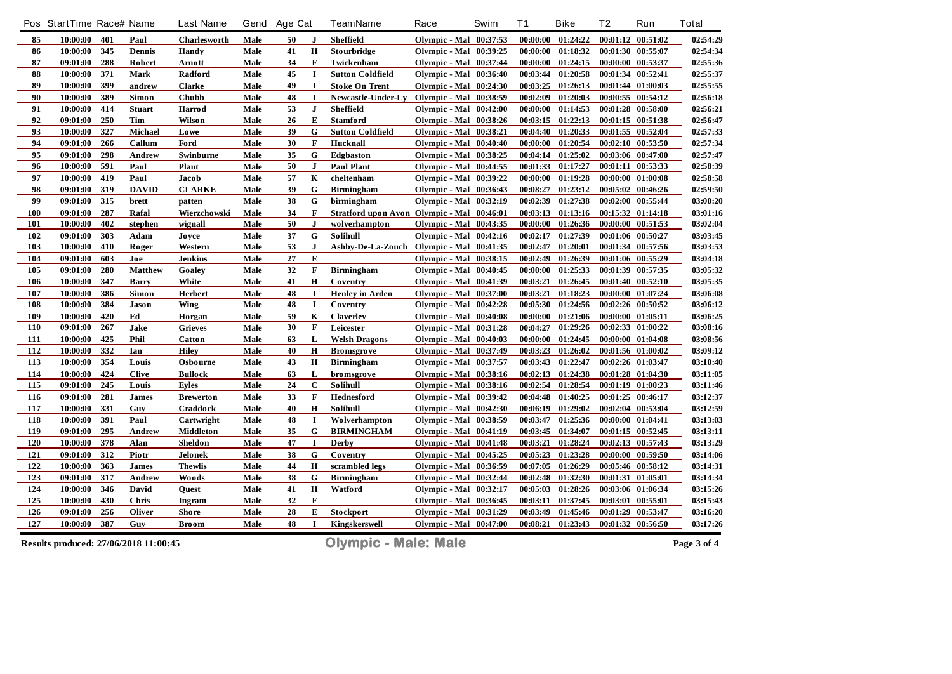|     | Pos StartTime Race# Name |     |                | <b>Last Name</b> | Gend | <b>Age Cat</b> |              | TeamName                                   | Race                          | Swim | T <sub>1</sub> | <b>Bike</b>       | T <sub>2</sub>    | Run               | <b>Total</b> |
|-----|--------------------------|-----|----------------|------------------|------|----------------|--------------|--------------------------------------------|-------------------------------|------|----------------|-------------------|-------------------|-------------------|--------------|
| 85  | 10:00:00                 | 401 | Paul           | Charlesworth     | Male | 50             | J            | Sheffield                                  | <b>Olympic - Mal</b> 00:37:53 |      | 00:00:00       | 01:24:22          |                   | 00:01:12 00:51:02 | 02:54:29     |
| 86  | 10:00:00                 | 345 | <b>Dennis</b>  | Handy            | Male | 41             | $\mathbf H$  | Stourbridge                                | <b>Olympic - Mal</b> 00:39:25 |      | 00:00:00       | 01:18:32          | 00:01:30 00:55:07 |                   | 02:54:34     |
| 87  | 09:01:00                 | 288 | Robert         | Arnott           | Male | 34             | F            | Twickenham                                 | <b>Olympic - Mal</b> 00:37:44 |      | 00:00:00       | 01:24:15          | 00:00:00 00:53:37 |                   | 02:55:36     |
| 88  | 10:00:00                 | 371 | <b>Mark</b>    | <b>Radford</b>   | Male | 45             | $\mathbf I$  | <b>Sutton Coldfield</b>                    | <b>Olympic - Mal</b> 00:36:40 |      | 00:03:44       | 01:20:58          | 00:01:34 00:52:41 |                   | 02:55:37     |
| 89  | 10:00:00                 | 399 | andrew         | <b>Clarke</b>    | Male | 49             |              | <b>Stoke On Trent</b>                      | <b>Olympic - Mal</b> 00:24:30 |      | 00:03:25       | 01:26:13          |                   | 00:01:44 01:00:03 | 02:55:55     |
| 90  | 10:00:00                 | 389 | Simon          | <b>Chubb</b>     | Male | 48             | $\bf{I}$     | Newcastle-Under-Ly                         | <b>Olympic - Mal</b> 00:38:59 |      | 00:02:09       | 01:20:03          |                   | 00:00:55 00:54:12 | 02:56:18     |
| 91  | 10:00:00                 | 414 | <b>Stuart</b>  | Harrod           | Male | 53             | J            | <b>Sheffield</b>                           | <b>Olympic - Mal</b> 00:42:00 |      | 00:00:00       | 01:14:53          | 00:01:28 00:58:00 |                   | 02:56:21     |
| 92  | 09:01:00                 | 250 | Tim            | Wilson           | Male | 26             | E            | <b>Stamford</b>                            | <b>Olympic - Mal</b> 00:38:26 |      | 00:03:15       | 01:22:13          |                   | 00:01:15 00:51:38 | 02:56:47     |
| 93  | 10:00:00                 | 327 | Michael        | Lowe             | Male | 39             | G            | <b>Sutton Coldfield</b>                    | <b>Olympic - Mal</b> 00:38:21 |      | 00:04:40       | 01:20:33          |                   | 00:01:55 00:52:04 | 02:57:33     |
| 94  | 09:01:00                 | 266 | Callum         | Ford             | Male | 30             | $\mathbf F$  | Hucknall                                   | <b>Olympic - Mal</b> 00:40:40 |      | 00:00:00       | 01:20:54          | 00:02:10 00:53:50 |                   | 02:57:34     |
| 95  | 09:01:00                 | 298 | Andrew         | Swinburne        | Male | 35             | G            | Edgbaston                                  | <b>Olympic - Mal</b> 00:38:25 |      | 00:04:14       | 01:25:02          | 00:03:06 00:47:00 |                   | 02:57:47     |
| 96  | 10:00:00                 | 591 | Paul           | <b>Plant</b>     | Male | 50             | J            | <b>Paul Plant</b>                          | <b>Olympic - Mal</b> 00:44:55 |      | 00:01:33       | 01:17:27          |                   | 00:01:11 00:53:33 | 02:58:39     |
| 97  | 10:00:00                 | 419 | Paul           | Jacob            | Male | 57             | $\mathbf K$  | cheltenham                                 | <b>Olympic - Mal</b> 00:39:22 |      | 00:00:00       | 01:19:28          |                   | 00:00:00 01:00:08 | 02:58:58     |
| 98  | 09:01:00                 | 319 | <b>DAVID</b>   | <b>CLARKE</b>    | Male | 39             | G            | <b>Birmingham</b>                          | <b>Olympic - Mal</b> 00:36:43 |      | 00:08:27       | 01:23:12          |                   | 00:05:02 00:46:26 | 02:59:50     |
| 99  | 09:01:00                 | 315 | brett          | patten           | Male | 38             | G            | birmingham                                 | <b>Olympic - Mal</b> 00:32:19 |      | 00:02:39       | 01:27:38          |                   | 00:02:00 00:55:44 | 03:00:20     |
| 100 | 09:01:00                 | 287 | Rafal          | Wierzchowski     | Male | 34             | $\mathbf{F}$ | Stratford upon Avon Olympic - Mal 00:46:01 |                               |      | 00:03:13       | 01:13:16          |                   | 00:15:32 01:14:18 | 03:01:16     |
| 101 | 10:00:00                 | 402 | stephen        | wignall          | Male | 50             | $\mathbf{J}$ | wolverhampton                              | <b>Olympic - Mal</b> 00:43:35 |      | 00:00:00       | 01:26:36          |                   | 00:00:00 00:51:53 | 03:02:04     |
| 102 | 09:01:00                 | 303 | Adam           | Joyce            | Male | 37             | G            | Solihull                                   | <b>Olympic - Mal</b> 00:42:16 |      | 00:02:17       | 01:27:39          | 00:01:06 00:50:27 |                   | 03:03:45     |
| 103 | 10:00:00                 | 410 | Roger          | Western          | Male | 53             | $\mathbf{J}$ | Ashby-De-La-Zouch Olympic - Mal 00:41:35   |                               |      | 00:02:47       | 01:20:01          |                   | 00:01:34 00:57:56 | 03:03:53     |
| 104 | 09:01:00                 | 603 | Joe            | <b>Jenkins</b>   | Male | 27             | E            |                                            | <b>Olympic - Mal</b> 00:38:15 |      | 00:02:49       | 01:26:39          | 00:01:06 00:55:29 |                   | 03:04:18     |
| 105 | 09:01:00                 | 280 | <b>Matthew</b> | Goaley           | Male | 32             | F            | <b>Birmingham</b>                          | Olympic - Mal 00:40:45        |      | 00:00:00       | 01:25:33          |                   | 00:01:39 00:57:35 | 03:05:32     |
| 106 | 10:00:00                 | 347 | <b>Barry</b>   | White            | Male | 41             | $\mathbf H$  | Coventry                                   | <b>Olympic - Mal</b> 00:41:39 |      | 00:03:21       | 01:26:45          | 00:01:40 00:52:10 |                   | 03:05:35     |
| 107 | 10:00:00                 | 386 | Simon          | Herbert          | Male | 48             | $\mathbf I$  | <b>Henley in Arden</b>                     | <b>Olympic - Mal</b> 00:37:00 |      | 00:03:21       | 01:18:23          |                   | 00:00:00 01:07:24 | 03:06:08     |
| 108 | 10:00:00                 | 384 | Jason          | Wing             | Male | 48             | $\bf{I}$     | Coventry                                   | <b>Olympic - Mal</b> 00:42:28 |      | 00:05:30       | 01:24:56          |                   | 00:02:26 00:50:52 | 03:06:12     |
| 109 | 10:00:00                 | 420 | Ed             | Horgan           | Male | 59             | K            | <b>Claverley</b>                           | <b>Olympic - Mal</b> 00:40:08 |      | 00:00:00       | 01:21:06          |                   | 00:00:00 01:05:11 | 03:06:25     |
| 110 | 09:01:00                 | 267 | Jake           | <b>Grieves</b>   | Male | 30             | $\mathbf F$  | Leicester                                  | <b>Olympic - Mal</b> 00:31:28 |      | 00:04:27       | 01:29:26          | 00:02:33 01:00:22 |                   | 03:08:16     |
| 111 | 10:00:00                 | 425 | <b>Phil</b>    | <b>Catton</b>    | Male | 63             | L            | <b>Welsh Dragons</b>                       | Olympic - Mal 00:40:03        |      | 00:00:00       | 01:24:45          |                   | 00:00:00 01:04:08 | 03:08:56     |
| 112 | 10:00:00                 | 332 | Ian            | <b>Hiley</b>     | Male | 40             | $\mathbf H$  | <b>Bromsgrove</b>                          | <b>Olympic - Mal</b> 00:37:49 |      | 00:03:23       | 01:26:02          | 00:01:56 01:00:02 |                   | 03:09:12     |
| 113 | 10:00:00                 | 354 | Louis          | Osbourne         | Male | 43             | H            | <b>Birmingham</b>                          | <b>Olympic - Mal</b> 00:37:57 |      | 00:03:43       | 01:22:47          | 00:02:26 01:03:47 |                   | 03:10:40     |
| 114 | 10:00:00                 | 424 | <b>Clive</b>   | <b>Bullock</b>   | Male | 63             | L            | bromsgrove                                 | <b>Olympic - Mal</b> 00:38:16 |      | 00:02:13       | 01:24:38          |                   | 00:01:28 01:04:30 | 03:11:05     |
| 115 | 09:01:00                 | 245 | Louis          | <b>Eyles</b>     | Male | 24             | $\mathbf C$  | Solihull                                   | Olympic - Mal 00:38:16        |      | 00:02:54       | 01:28:54          |                   | 00:01:19 01:00:23 | 03:11:46     |
| 116 | 09:01:00                 | 281 | <b>James</b>   | <b>Brewerton</b> | Male | 33             | $\mathbf{F}$ | <b>Hednesford</b>                          | <b>Olympic - Mal</b> 00:39:42 |      | 00:04:48       | 01:40:25          |                   | 00:01:25 00:46:17 | 03:12:37     |
| 117 | 10:00:00                 | 331 | Guy            | Craddock         | Male | 40             | $\bf H$      | Solihull                                   | <b>Olympic - Mal</b> 00:42:30 |      | 00:06:19       | 01:29:02          |                   | 00:02:04 00:53:04 | 03:12:59     |
| 118 | 10:00:00                 | 391 | Paul           | Cartwright       | Male | 48             | $\bf{I}$     | Wolverhampton                              | <b>Olympic - Mal</b> 00:38:59 |      | 00:03:47       | 01:25:36          | 00:00:00 01:04:41 |                   | 03:13:03     |
| 119 | 09:01:00                 | 295 | <b>Andrew</b>  | <b>Middleton</b> | Male | 35             | G            | <b>BIRMINGHAM</b>                          | <b>Olympic - Mal</b> 00:41:19 |      | 00:03:45       | 01:34:07          |                   | 00:01:15 00:52:45 | 03:13:11     |
| 120 | 10:00:00                 | 378 | Alan           | Sheldon          | Male | 47             | 1            | Derby                                      | <b>Olympic - Mal</b> 00:41:48 |      | 00:03:21       | 01:28:24          |                   | 00:02:13 00:57:43 | 03:13:29     |
| 121 | 09:01:00                 | 312 | Piotr          | Jelonek          | Male | 38             | G            | Coventry                                   | Olympic - Mal 00:45:25        |      | 00:05:23       | 01:23:28          | 00:00:00 00:59:50 |                   | 03:14:06     |
| 122 | 10:00:00                 | 363 | <b>James</b>   | <b>Thewlis</b>   | Male | 44             | H            | scrambled legs                             | <b>Olympic - Mal</b> 00:36:59 |      | 00:07:05       | 01:26:29          |                   | 00:05:46 00:58:12 | 03:14:31     |
| 123 | 09:01:00                 | 317 | Andrew         | Woods            | Male | 38             | G            | <b>Birmingham</b>                          | <b>Olympic - Mal</b> 00:32:44 |      | 00:02:48       | 01:32:30          | 00:01:31 01:05:01 |                   | 03:14:34     |
| 124 | 10:00:00                 | 346 | David          | <b>Ouest</b>     | Male | 41             | $\mathbf H$  | Watford                                    | <b>Olympic - Mal</b> 00:32:17 |      | 00:05:03       | 01:28:26          |                   | 00:03:06 01:06:34 | 03:15:26     |
| 125 | 10:00:00                 | 430 | <b>Chris</b>   | Ingram           | Male | 32             | $\mathbf{F}$ |                                            | <b>Olympic - Mal</b> 00:36:45 |      | 00:03:11       | 01:37:45          | 00:03:01          | 00:55:01          | 03:15:43     |
| 126 | 09:01:00                 | 256 | Oliver         | <b>Shore</b>     | Male | 28             | E            | Stockport                                  | <b>Olympic - Mal</b> 00:31:29 |      | 00:03:49       | 01:45:46          | 00:01:29          | 00:53:47          | 03:16:20     |
| 127 | 10:00:00                 | 387 | Guy            | <b>Broom</b>     | Male | 48             | <b>I</b>     | Kingskerswell                              | <b>Olympic - Mal</b> 00:47:00 |      |                | 00:08:21 01:23:43 | 00:01:32 00:56:50 |                   | 03:17:26     |

**Results produced: 27/06/2018 11:00:45 Olympic - Male: Male Page 3 of 4**